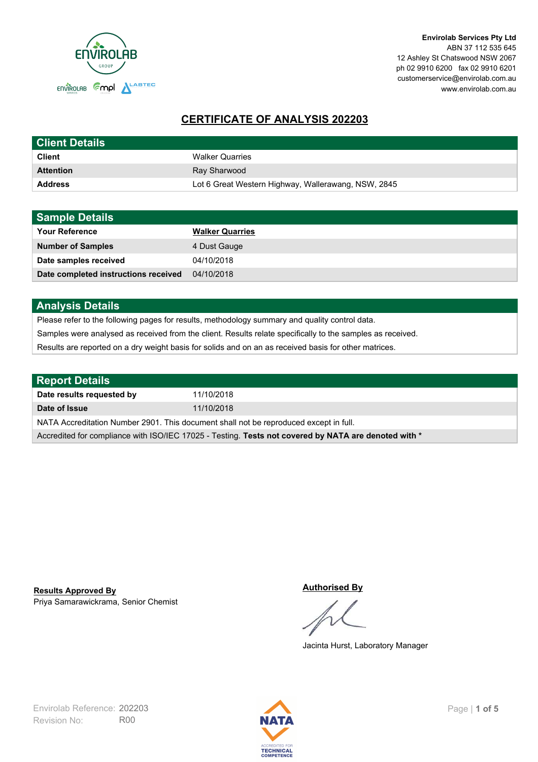

# **CERTIFICATE OF ANALYSIS 202203**

| <b>Client Details</b> |                                                     |
|-----------------------|-----------------------------------------------------|
| <b>Client</b>         | <b>Walker Quarries</b>                              |
| <b>Attention</b>      | Ray Sharwood                                        |
| <b>Address</b>        | Lot 6 Great Western Highway, Wallerawang, NSW, 2845 |

| <b>Sample Details</b>                |                        |
|--------------------------------------|------------------------|
| <b>Your Reference</b>                | <b>Walker Quarries</b> |
| <b>Number of Samples</b>             | 4 Dust Gauge           |
| Date samples received                | 04/10/2018             |
| Date completed instructions received | 04/10/2018             |

## **Analysis Details**

Please refer to the following pages for results, methodology summary and quality control data.

Samples were analysed as received from the client. Results relate specifically to the samples as received.

Results are reported on a dry weight basis for solids and on an as received basis for other matrices.

| <b>Report Details</b>                                                                                |            |  |
|------------------------------------------------------------------------------------------------------|------------|--|
| Date results requested by                                                                            | 11/10/2018 |  |
| Date of Issue                                                                                        | 11/10/2018 |  |
| NATA Accreditation Number 2901. This document shall not be reproduced except in full.                |            |  |
| Accredited for compliance with ISO/IEC 17025 - Testing. Tests not covered by NATA are denoted with * |            |  |

Priya Samarawickrama, Senior Chemist **Results Approved By**

#### **Authorised By**

Jacinta Hurst, Laboratory Manager

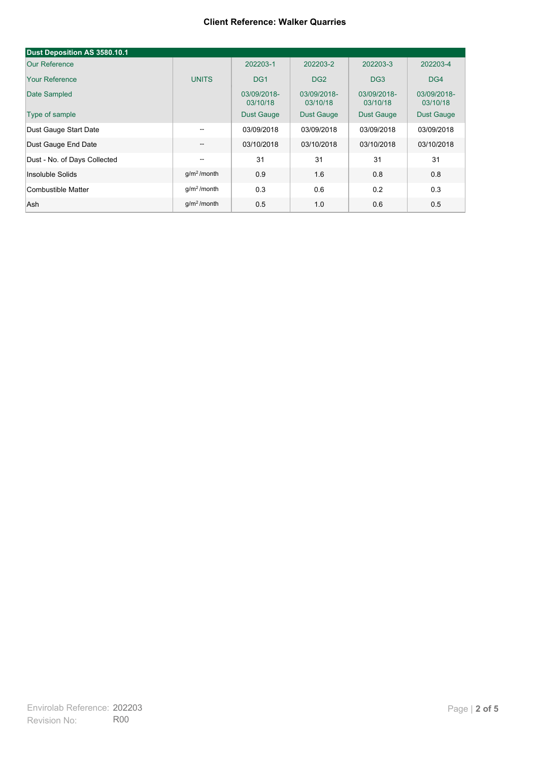#### **Client Reference: Walker Quarries**

| Dust Deposition AS 3580.10.1 |                                     |                         |                         |                         |                         |
|------------------------------|-------------------------------------|-------------------------|-------------------------|-------------------------|-------------------------|
| <b>Our Reference</b>         |                                     | 202203-1                | 202203-2                | 202203-3                | 202203-4                |
| <b>Your Reference</b>        | <b>UNITS</b>                        | DG <sub>1</sub>         | DG <sub>2</sub>         | DG <sub>3</sub>         | DG4                     |
| Date Sampled                 |                                     | 03/09/2018-<br>03/10/18 | 03/09/2018-<br>03/10/18 | 03/09/2018-<br>03/10/18 | 03/09/2018-<br>03/10/18 |
| Type of sample               |                                     | <b>Dust Gauge</b>       | Dust Gauge              | Dust Gauge              | <b>Dust Gauge</b>       |
| Dust Gauge Start Date        | $-$                                 | 03/09/2018              | 03/09/2018              | 03/09/2018              | 03/09/2018              |
| Dust Gauge End Date          | $\hspace{0.05cm}$ $\hspace{0.05cm}$ | 03/10/2018              | 03/10/2018              | 03/10/2018              | 03/10/2018              |
| Dust - No. of Days Collected | $-$                                 | 31                      | 31                      | 31                      | 31                      |
| Insoluble Solids             | g/m <sup>2</sup> /month             | 0.9                     | 1.6                     | 0.8                     | 0.8                     |
| Combustible Matter           | $q/m2$ /month                       | 0.3                     | 0.6                     | 0.2                     | 0.3                     |
| Ash                          | $g/m2$ /month                       | 0.5                     | 1.0                     | 0.6                     | 0.5                     |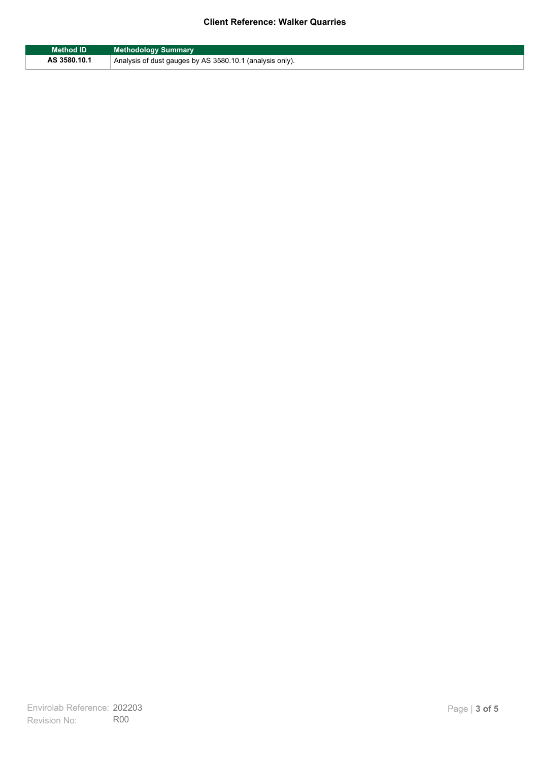## **Client Reference: Walker Quarries**

| <b>Method ID</b> | <b>Methodology Summary</b>                               |
|------------------|----------------------------------------------------------|
| AS 3580.10.1     | Analysis of dust gauges by AS 3580.10.1 (analysis only). |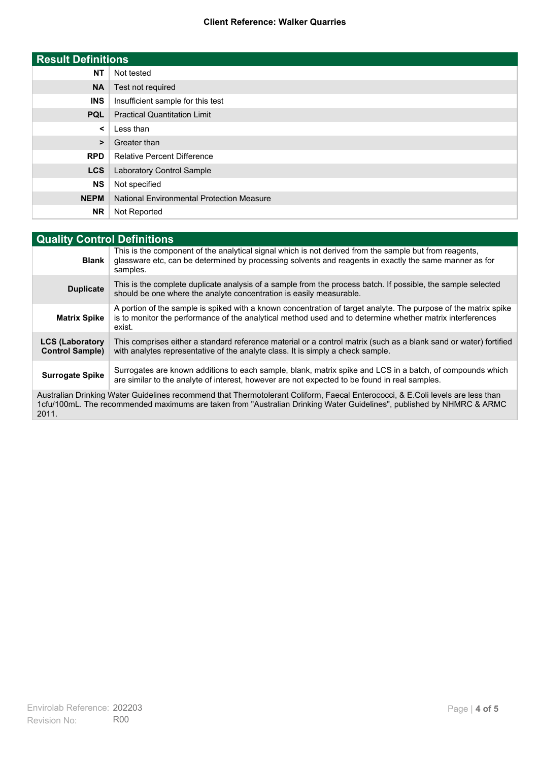### **Client Reference: Walker Quarries**

| <b>Result Definitions</b> |                                                  |
|---------------------------|--------------------------------------------------|
| <b>NT</b>                 | Not tested                                       |
| <b>NA</b>                 | Test not required                                |
| <b>INS</b>                | Insufficient sample for this test                |
| <b>PQL</b>                | <b>Practical Quantitation Limit</b>              |
| $\prec$                   | Less than                                        |
| $\geq$                    | Greater than                                     |
| <b>RPD</b>                | <b>Relative Percent Difference</b>               |
| <b>LCS</b>                | Laboratory Control Sample                        |
| <b>NS</b>                 | Not specified                                    |
| <b>NEPM</b>               | <b>National Environmental Protection Measure</b> |
| <b>NR</b>                 | Not Reported                                     |

| <b>Quality Control Definitions</b>                                                                                                                                                                                                                      |                                                                                                                                                                                                                                        |  |
|---------------------------------------------------------------------------------------------------------------------------------------------------------------------------------------------------------------------------------------------------------|----------------------------------------------------------------------------------------------------------------------------------------------------------------------------------------------------------------------------------------|--|
| <b>Blank</b>                                                                                                                                                                                                                                            | This is the component of the analytical signal which is not derived from the sample but from reagents.<br>glassware etc, can be determined by processing solvents and reagents in exactly the same manner as for<br>samples.           |  |
| <b>Duplicate</b>                                                                                                                                                                                                                                        | This is the complete duplicate analysis of a sample from the process batch. If possible, the sample selected<br>should be one where the analyte concentration is easily measurable.                                                    |  |
| <b>Matrix Spike</b>                                                                                                                                                                                                                                     | A portion of the sample is spiked with a known concentration of target analyte. The purpose of the matrix spike<br>is to monitor the performance of the analytical method used and to determine whether matrix interferences<br>exist. |  |
| <b>LCS (Laboratory</b><br><b>Control Sample)</b>                                                                                                                                                                                                        | This comprises either a standard reference material or a control matrix (such as a blank sand or water) fortified<br>with analytes representative of the analyte class. It is simply a check sample.                                   |  |
| <b>Surrogate Spike</b>                                                                                                                                                                                                                                  | Surrogates are known additions to each sample, blank, matrix spike and LCS in a batch, of compounds which<br>are similar to the analyte of interest, however are not expected to be found in real samples.                             |  |
| Australian Drinking Water Guidelines recommend that Thermotolerant Coliform, Faecal Enterococci, & E.Coli levels are less than<br>1cfu/100mL. The recommended maximums are taken from "Australian Drinking Water Guidelines", published by NHMRC & ARMC |                                                                                                                                                                                                                                        |  |

2011.